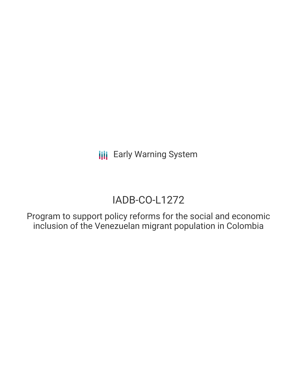# IADB-CO-L1272

Program to support policy reforms for the social and economic inclusion of the Venezuelan migrant population in Colombia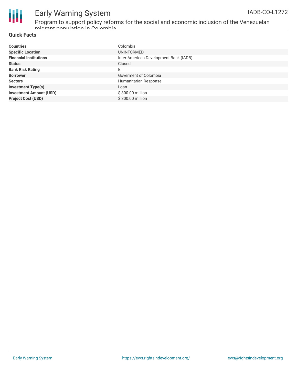

Program to support policy reforms for the social and economic inclusion of the Venezuelan migrant population in Colombia

### **Quick Facts**

| <b>Countries</b>               | Colombia                               |
|--------------------------------|----------------------------------------|
| <b>Specific Location</b>       | UNINFORMED                             |
| <b>Financial Institutions</b>  | Inter-American Development Bank (IADB) |
| <b>Status</b>                  | Closed                                 |
| <b>Bank Risk Rating</b>        | B                                      |
| <b>Borrower</b>                | Goverment of Colombia                  |
| <b>Sectors</b>                 | Humanitarian Response                  |
| <b>Investment Type(s)</b>      | Loan                                   |
| <b>Investment Amount (USD)</b> | \$300.00 million                       |
| <b>Project Cost (USD)</b>      | \$300,00 million                       |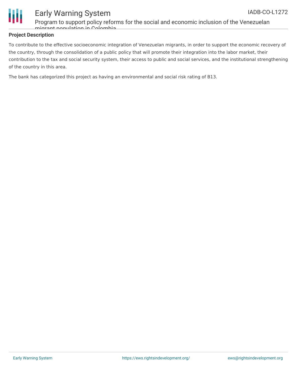

Program to support policy reforms for the social and economic inclusion of the Venezuelan migrant population in Colombia

### **Project Description**

To contribute to the effective socioeconomic integration of Venezuelan migrants, in order to support the economic recovery of the country, through the consolidation of a public policy that will promote their integration into the labor market, their contribution to the tax and social security system, their access to public and social services, and the institutional strengthening of the country in this area.

The bank has categorized this project as having an environmental and social risk rating of B13.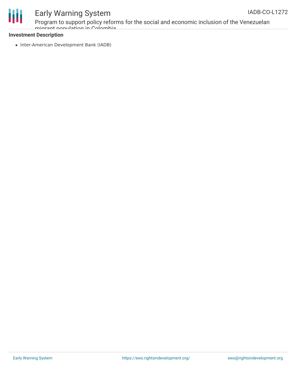

Program to support policy reforms for the social and economic inclusion of the Venezuelan migrant population in Colombia

### **Investment Description**

• Inter-American Development Bank (IADB)